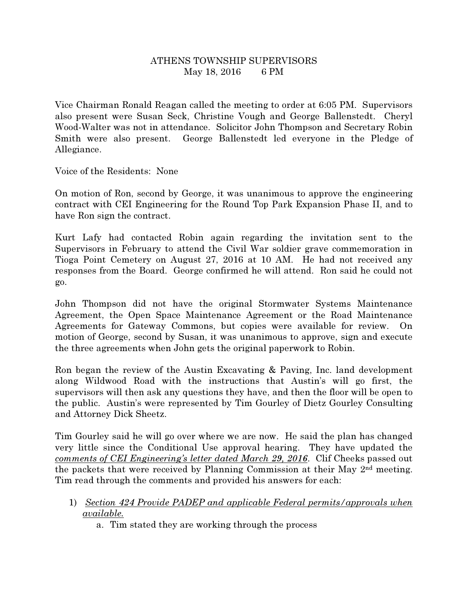## ATHENS TOWNSHIP SUPERVISORS May 18, 2016 6 PM

Vice Chairman Ronald Reagan called the meeting to order at 6:05 PM. Supervisors also present were Susan Seck, Christine Vough and George Ballenstedt. Cheryl Wood-Walter was not in attendance. Solicitor John Thompson and Secretary Robin Smith were also present. George Ballenstedt led everyone in the Pledge of Allegiance.

Voice of the Residents: None

On motion of Ron, second by George, it was unanimous to approve the engineering contract with CEI Engineering for the Round Top Park Expansion Phase II, and to have Ron sign the contract.

Kurt Lafy had contacted Robin again regarding the invitation sent to the Supervisors in February to attend the Civil War soldier grave commemoration in Tioga Point Cemetery on August 27, 2016 at 10 AM. He had not received any responses from the Board. George confirmed he will attend. Ron said he could not go.

John Thompson did not have the original Stormwater Systems Maintenance Agreement, the Open Space Maintenance Agreement or the Road Maintenance Agreements for Gateway Commons, but copies were available for review. On motion of George, second by Susan, it was unanimous to approve, sign and execute the three agreements when John gets the original paperwork to Robin.

Ron began the review of the Austin Excavating & Paving, Inc. land development along Wildwood Road with the instructions that Austin's will go first, the supervisors will then ask any questions they have, and then the floor will be open to the public. Austin's were represented by Tim Gourley of Dietz Gourley Consulting and Attorney Dick Sheetz.

Tim Gourley said he will go over where we are now. He said the plan has changed very little since the Conditional Use approval hearing. They have updated the comments of CEI Engineering's letter dated March 29, 2016. Clif Cheeks passed out the packets that were received by Planning Commission at their May 2nd meeting. Tim read through the comments and provided his answers for each:

- 1) Section 424 Provide PADEP and applicable Federal permits/approvals when available.
	- a. Tim stated they are working through the process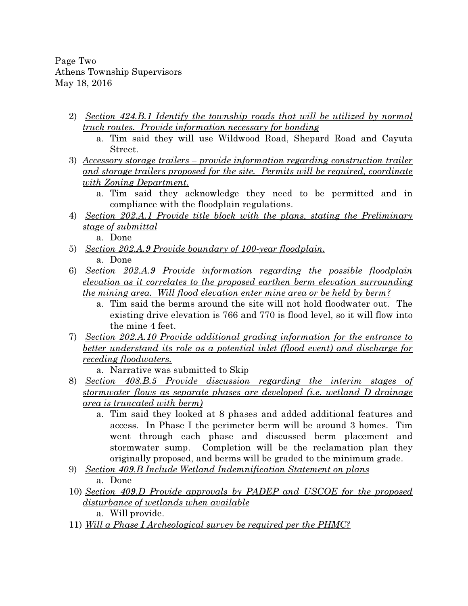Page Two Athens Township Supervisors May 18, 2016

- 2) Section 424.B.1 Identify the township roads that will be utilized by normal truck routes. Provide information necessary for bonding
	- a. Tim said they will use Wildwood Road, Shepard Road and Cayuta Street.
- 3) Accessory storage trailers provide information regarding construction trailer and storage trailers proposed for the site. Permits will be required, coordinate with Zoning Department.
	- a. Tim said they acknowledge they need to be permitted and in compliance with the floodplain regulations.
- 4) Section 202.A.1 Provide title block with the plans, stating the Preliminary stage of submittal

a. Done

- 5) Section 202.A.9 Provide boundary of 100-year floodplain. a. Done
- 6) Section 202.A.9 Provide information regarding the possible floodplain elevation as it correlates to the proposed earthen berm elevation surrounding the mining area. Will flood elevation enter mine area or be held by berm?
	- a. Tim said the berms around the site will not hold floodwater out. The existing drive elevation is 766 and 770 is flood level, so it will flow into the mine 4 feet.
- 7) Section 202.A.10 Provide additional grading information for the entrance to better understand its role as a potential inlet (flood event) and discharge for receding floodwaters.
	- a. Narrative was submitted to Skip
- 8) Section 408.B.5 Provide discussion regarding the interim stages of stormwater flows as separate phases are developed (i.e. wetland D drainage area is truncated with berm)
	- a. Tim said they looked at 8 phases and added additional features and access. In Phase I the perimeter berm will be around 3 homes. Tim went through each phase and discussed berm placement and stormwater sump. Completion will be the reclamation plan they originally proposed, and berms will be graded to the minimum grade.
- 9) Section 409.B Include Wetland Indemnification Statement on plans a. Done
- 10) Section 409.D Provide approvals by PADEP and USCOE for the proposed disturbance of wetlands when available

a. Will provide.

11) Will a Phase I Archeological survey be required per the PHMC?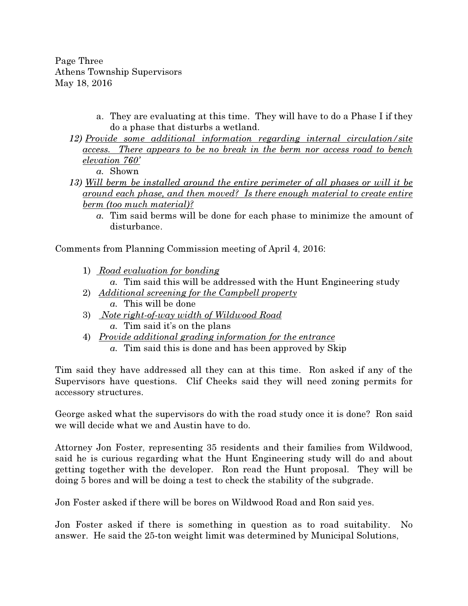Page Three Athens Township Supervisors May 18, 2016

- a. They are evaluating at this time. They will have to do a Phase I if they do a phase that disturbs a wetland.
- 12) Provide some additional information regarding internal circulation/site access. There appears to be no break in the berm nor access road to bench elevation 760'

a. Shown

- 13) Will berm be installed around the entire perimeter of all phases or will it be around each phase, and then moved? Is there enough material to create entire berm (too much material)?
	- a. Tim said berms will be done for each phase to minimize the amount of disturbance.

Comments from Planning Commission meeting of April 4, 2016:

1) Road evaluation for bonding

a. Tim said this will be addressed with the Hunt Engineering study

- 2) Additional screening for the Campbell property a. This will be done
- 3) Note right-of-way width of Wildwood Road a. Tim said it's on the plans
- 4) Provide additional grading information for the entrance a. Tim said this is done and has been approved by Skip

Tim said they have addressed all they can at this time. Ron asked if any of the Supervisors have questions. Clif Cheeks said they will need zoning permits for accessory structures.

George asked what the supervisors do with the road study once it is done? Ron said we will decide what we and Austin have to do.

Attorney Jon Foster, representing 35 residents and their families from Wildwood, said he is curious regarding what the Hunt Engineering study will do and about getting together with the developer. Ron read the Hunt proposal. They will be doing 5 bores and will be doing a test to check the stability of the subgrade.

Jon Foster asked if there will be bores on Wildwood Road and Ron said yes.

Jon Foster asked if there is something in question as to road suitability. No answer. He said the 25-ton weight limit was determined by Municipal Solutions,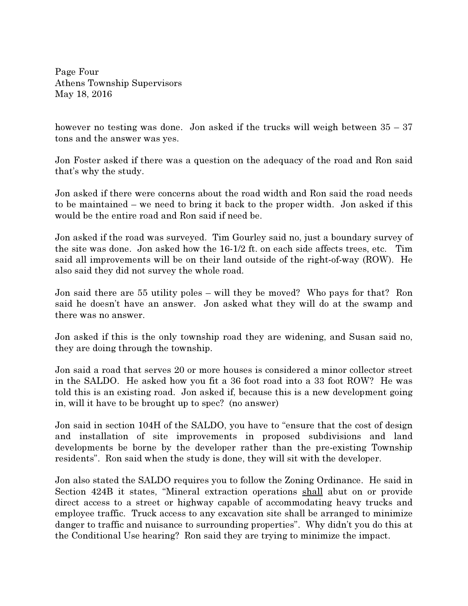Page Four Athens Township Supervisors May 18, 2016

however no testing was done. Jon asked if the trucks will weigh between  $35 - 37$ tons and the answer was yes.

Jon Foster asked if there was a question on the adequacy of the road and Ron said that's why the study.

Jon asked if there were concerns about the road width and Ron said the road needs to be maintained – we need to bring it back to the proper width. Jon asked if this would be the entire road and Ron said if need be.

Jon asked if the road was surveyed. Tim Gourley said no, just a boundary survey of the site was done. Jon asked how the 16-1/2 ft. on each side affects trees, etc. Tim said all improvements will be on their land outside of the right-of-way (ROW). He also said they did not survey the whole road.

Jon said there are 55 utility poles – will they be moved? Who pays for that? Ron said he doesn't have an answer. Jon asked what they will do at the swamp and there was no answer.

Jon asked if this is the only township road they are widening, and Susan said no, they are doing through the township.

Jon said a road that serves 20 or more houses is considered a minor collector street in the SALDO. He asked how you fit a 36 foot road into a 33 foot ROW? He was told this is an existing road. Jon asked if, because this is a new development going in, will it have to be brought up to spec? (no answer)

Jon said in section 104H of the SALDO, you have to "ensure that the cost of design and installation of site improvements in proposed subdivisions and land developments be borne by the developer rather than the pre-existing Township residents". Ron said when the study is done, they will sit with the developer.

Jon also stated the SALDO requires you to follow the Zoning Ordinance. He said in Section 424B it states, "Mineral extraction operations shall abut on or provide direct access to a street or highway capable of accommodating heavy trucks and employee traffic. Truck access to any excavation site shall be arranged to minimize danger to traffic and nuisance to surrounding properties". Why didn't you do this at the Conditional Use hearing? Ron said they are trying to minimize the impact.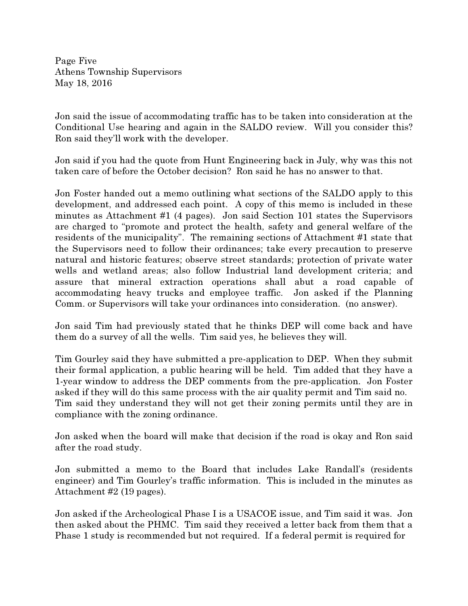Page Five Athens Township Supervisors May 18, 2016

Jon said the issue of accommodating traffic has to be taken into consideration at the Conditional Use hearing and again in the SALDO review. Will you consider this? Ron said they'll work with the developer.

Jon said if you had the quote from Hunt Engineering back in July, why was this not taken care of before the October decision? Ron said he has no answer to that.

Jon Foster handed out a memo outlining what sections of the SALDO apply to this development, and addressed each point. A copy of this memo is included in these minutes as Attachment #1 (4 pages). Jon said Section 101 states the Supervisors are charged to "promote and protect the health, safety and general welfare of the residents of the municipality". The remaining sections of Attachment #1 state that the Supervisors need to follow their ordinances; take every precaution to preserve natural and historic features; observe street standards; protection of private water wells and wetland areas; also follow Industrial land development criteria; and assure that mineral extraction operations shall abut a road capable of accommodating heavy trucks and employee traffic. Jon asked if the Planning Comm. or Supervisors will take your ordinances into consideration. (no answer).

Jon said Tim had previously stated that he thinks DEP will come back and have them do a survey of all the wells. Tim said yes, he believes they will.

Tim Gourley said they have submitted a pre-application to DEP. When they submit their formal application, a public hearing will be held. Tim added that they have a 1-year window to address the DEP comments from the pre-application. Jon Foster asked if they will do this same process with the air quality permit and Tim said no. Tim said they understand they will not get their zoning permits until they are in compliance with the zoning ordinance.

Jon asked when the board will make that decision if the road is okay and Ron said after the road study.

Jon submitted a memo to the Board that includes Lake Randall's (residents engineer) and Tim Gourley's traffic information. This is included in the minutes as Attachment #2 (19 pages).

Jon asked if the Archeological Phase I is a USACOE issue, and Tim said it was. Jon then asked about the PHMC. Tim said they received a letter back from them that a Phase 1 study is recommended but not required. If a federal permit is required for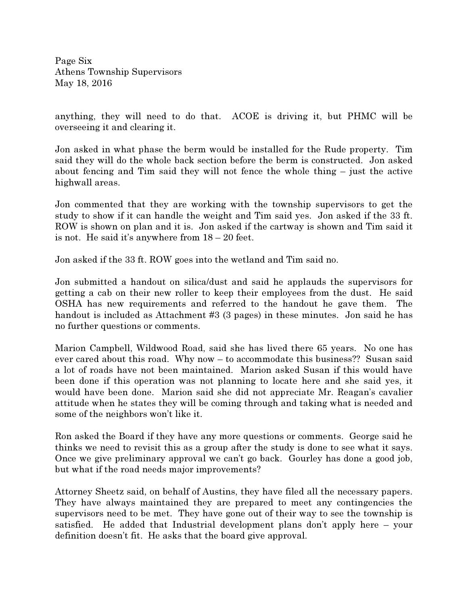Page Six Athens Township Supervisors May 18, 2016

anything, they will need to do that. ACOE is driving it, but PHMC will be overseeing it and clearing it.

Jon asked in what phase the berm would be installed for the Rude property. Tim said they will do the whole back section before the berm is constructed. Jon asked about fencing and Tim said they will not fence the whole thing – just the active highwall areas.

Jon commented that they are working with the township supervisors to get the study to show if it can handle the weight and Tim said yes. Jon asked if the 33 ft. ROW is shown on plan and it is. Jon asked if the cartway is shown and Tim said it is not. He said it's anywhere from 18 – 20 feet.

Jon asked if the 33 ft. ROW goes into the wetland and Tim said no.

Jon submitted a handout on silica/dust and said he applauds the supervisors for getting a cab on their new roller to keep their employees from the dust. He said OSHA has new requirements and referred to the handout he gave them. The handout is included as Attachment #3 (3 pages) in these minutes. Jon said he has no further questions or comments.

Marion Campbell, Wildwood Road, said she has lived there 65 years. No one has ever cared about this road. Why now – to accommodate this business?? Susan said a lot of roads have not been maintained. Marion asked Susan if this would have been done if this operation was not planning to locate here and she said yes, it would have been done. Marion said she did not appreciate Mr. Reagan's cavalier attitude when he states they will be coming through and taking what is needed and some of the neighbors won't like it.

Ron asked the Board if they have any more questions or comments. George said he thinks we need to revisit this as a group after the study is done to see what it says. Once we give preliminary approval we can't go back. Gourley has done a good job, but what if the road needs major improvements?

Attorney Sheetz said, on behalf of Austins, they have filed all the necessary papers. They have always maintained they are prepared to meet any contingencies the supervisors need to be met. They have gone out of their way to see the township is satisfied. He added that Industrial development plans don't apply here – your definition doesn't fit. He asks that the board give approval.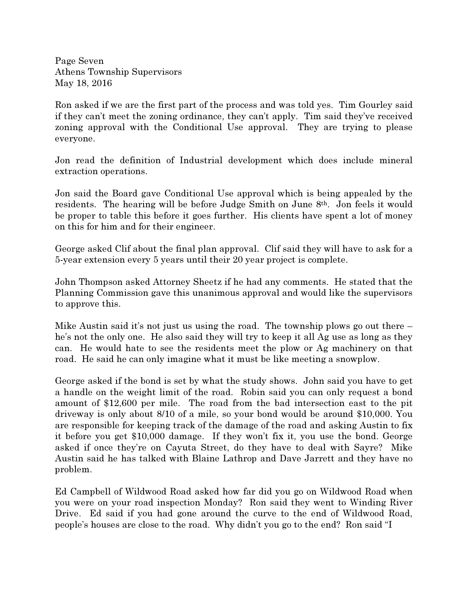Page Seven Athens Township Supervisors May 18, 2016

Ron asked if we are the first part of the process and was told yes. Tim Gourley said if they can't meet the zoning ordinance, they can't apply. Tim said they've received zoning approval with the Conditional Use approval. They are trying to please everyone.

Jon read the definition of Industrial development which does include mineral extraction operations.

Jon said the Board gave Conditional Use approval which is being appealed by the residents. The hearing will be before Judge Smith on June 8th. Jon feels it would be proper to table this before it goes further. His clients have spent a lot of money on this for him and for their engineer.

George asked Clif about the final plan approval. Clif said they will have to ask for a 5-year extension every 5 years until their 20 year project is complete.

John Thompson asked Attorney Sheetz if he had any comments. He stated that the Planning Commission gave this unanimous approval and would like the supervisors to approve this.

Mike Austin said it's not just us using the road. The township plows go out there – he's not the only one. He also said they will try to keep it all Ag use as long as they can. He would hate to see the residents meet the plow or Ag machinery on that road. He said he can only imagine what it must be like meeting a snowplow.

George asked if the bond is set by what the study shows. John said you have to get a handle on the weight limit of the road. Robin said you can only request a bond amount of \$12,600 per mile. The road from the bad intersection east to the pit driveway is only about 8/10 of a mile, so your bond would be around \$10,000. You are responsible for keeping track of the damage of the road and asking Austin to fix it before you get \$10,000 damage. If they won't fix it, you use the bond. George asked if once they're on Cayuta Street, do they have to deal with Sayre? Mike Austin said he has talked with Blaine Lathrop and Dave Jarrett and they have no problem.

Ed Campbell of Wildwood Road asked how far did you go on Wildwood Road when you were on your road inspection Monday? Ron said they went to Winding River Drive. Ed said if you had gone around the curve to the end of Wildwood Road, people's houses are close to the road. Why didn't you go to the end? Ron said "I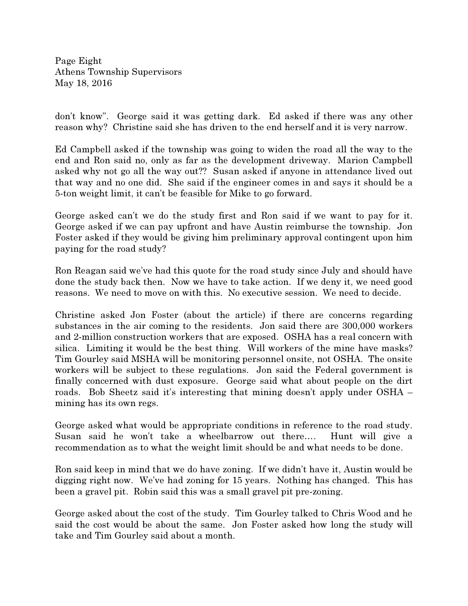Page Eight Athens Township Supervisors May 18, 2016

don't know". George said it was getting dark. Ed asked if there was any other reason why? Christine said she has driven to the end herself and it is very narrow.

Ed Campbell asked if the township was going to widen the road all the way to the end and Ron said no, only as far as the development driveway. Marion Campbell asked why not go all the way out?? Susan asked if anyone in attendance lived out that way and no one did. She said if the engineer comes in and says it should be a 5-ton weight limit, it can't be feasible for Mike to go forward.

George asked can't we do the study first and Ron said if we want to pay for it. George asked if we can pay upfront and have Austin reimburse the township. Jon Foster asked if they would be giving him preliminary approval contingent upon him paying for the road study?

Ron Reagan said we've had this quote for the road study since July and should have done the study back then. Now we have to take action. If we deny it, we need good reasons. We need to move on with this. No executive session. We need to decide.

Christine asked Jon Foster (about the article) if there are concerns regarding substances in the air coming to the residents. Jon said there are 300,000 workers and 2-million construction workers that are exposed. OSHA has a real concern with silica. Limiting it would be the best thing. Will workers of the mine have masks? Tim Gourley said MSHA will be monitoring personnel onsite, not OSHA. The onsite workers will be subject to these regulations. Jon said the Federal government is finally concerned with dust exposure. George said what about people on the dirt roads. Bob Sheetz said it's interesting that mining doesn't apply under OSHA – mining has its own regs.

George asked what would be appropriate conditions in reference to the road study. Susan said he won't take a wheelbarrow out there…. Hunt will give a recommendation as to what the weight limit should be and what needs to be done.

Ron said keep in mind that we do have zoning. If we didn't have it, Austin would be digging right now. We've had zoning for 15 years. Nothing has changed. This has been a gravel pit. Robin said this was a small gravel pit pre-zoning.

George asked about the cost of the study. Tim Gourley talked to Chris Wood and he said the cost would be about the same. Jon Foster asked how long the study will take and Tim Gourley said about a month.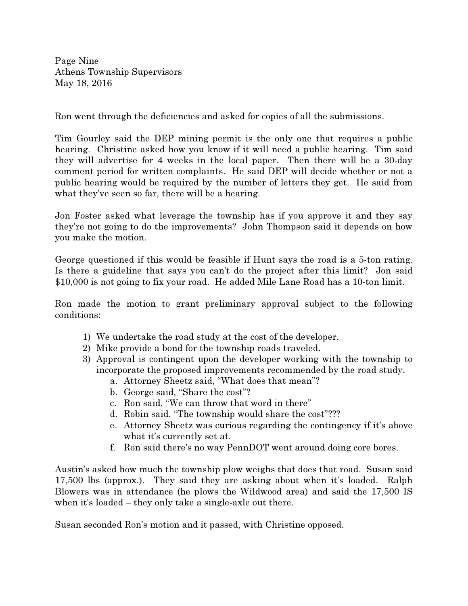Page Nine Athens Township Supervisors May 18, 2016

Ron went through the deficiencies and asked for copies of all the submissions.

Tim Gourley said the DEP mining permit is the only one that requires a public hearing. Christine asked how you know if it will need a public hearing. Tim said they will advertise for 4 weeks in the local paper. Then there will be a 30-day comment period for written complaints. He said DEP will decide whether or not a public hearing would be required by the number of letters they get. He said from what they've seen so far, there will be a hearing.

Jon Foster asked what leverage the township has if you approve it and they say they're not going to do the improvements? John Thompson said it depends on how you make the motion.

George questioned if this would be feasible if Hunt says the road is a 5-ton rating. Is there a guideline that says you can't do the project after this limit? Jon said \$10,000 is not going to fix your road. He added Mile Lane Road has a 10-ton limit.

Ron made the motion to grant preliminary approval subject to the following conditions:

- 1) We undertake the road study at the cost of the developer.
- 2) Mike provide a bond for the township roads traveled.
- 3) Approval is contingent upon the developer working with the township to incorporate the proposed improvements recommended by the road study.
	- a. Attorney Sheetz said, "What does that mean"?
	- b. George said, "Share the cost"?
	- c. Ron said, "We can throw that word in there"
	- d. Robin said, "The township would share the cost"???
	- e. Attorney Sheetz was curious regarding the contingency if it's above what it's currently set at.
	- f. Ron said there's no way PennDOT went around doing core bores.

Austin's asked how much the township plow weighs that does that road. Susan said 17,500 lbs (approx.). They said they are asking about when it's loaded. Ralph Blowers was in attendance (he plows the Wildwood area) and said the 17,500 IS when it's loaded – they only take a single-axle out there.

Susan seconded Ron's motion and it passed, with Christine opposed.